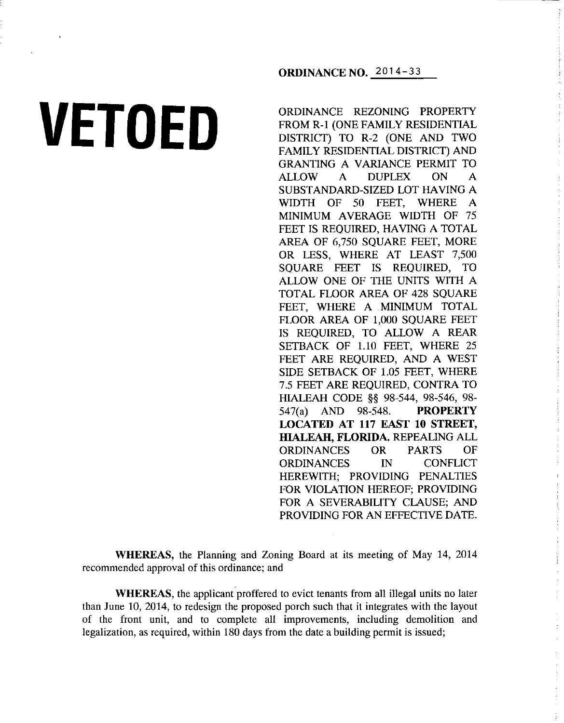# **VETOED**

# ORDINANCE REZONING PROPERTY FROM R-1 (ONE FAMILY RESIDENTIAL DISTRICT) TO R-2 (ONE AND TWO FAMILY RESIDENTIAL DISTRICT) AND GRANTING A VARIANCE PERMIT TO ALLOW A DUPLEX ON A SUBSTANDARD-SIZED LOT HAVING A WIDTH OF 50 FEET, WHERE MINIMUM AVERAGE WIDTH OF 75 FEET IS REQUIRED, HAVING A TOTAL AREA OF 6,750 SQUARE FEET, MORE OR LESS, WHERE AT LEAST 7,500 SQUARE FEET IS REQUIRED, TO ALLOW ONE OF THE UNITS WITH A TOTAL FLOOR AREA OF 428 SQUARE FEET, WHERE A MINIMUM TOTAL FLOOR AREA OF 1,000 SQUARE FEET IS REQUIRED, TO ALLOW A REAR SETBACK OF 1.10 FEET, WHERE 25 FEET ARE REQUIRED, AND A WEST SIDE SETBACK OF 1.05 FEET, WHERE 7.5 FEET ARE REQUIRED, CONTRA TO HIALEAH CODE §§ 98-544, 98-546, 98- 547(a) AND 98-548. **PROPERTY LOCATED AT 117 EAST 10 STREET, HIALEAH, FLORIDA.** REPEALING ALL ORDINANCES OR PARTS OF ORDINANCES IN CONFLICT HEREWITH; PROVIDING PENALTIES FOR VIOLATION HEREOF; PROVIDING FOR A SEVERABILITY CLAUSE; AND PROVIDING FOR AN EFFECTIVE DATE.

**WHEREAS,** the Planning and Zoning Board at its meeting of May 14, 2014 recommended approval of this ordinance; and

**WHEREAS,** the applicant proffered to evict tenants from all illegal units no later than June 10, 2014, to redesign the proposed porch such that it integrates with the layout of the front unit, and to complete all improvements, including demolition and legalization, as required, within 180 days from the date a building permit is issued;

## **ORDINANCE NO. 2014-33**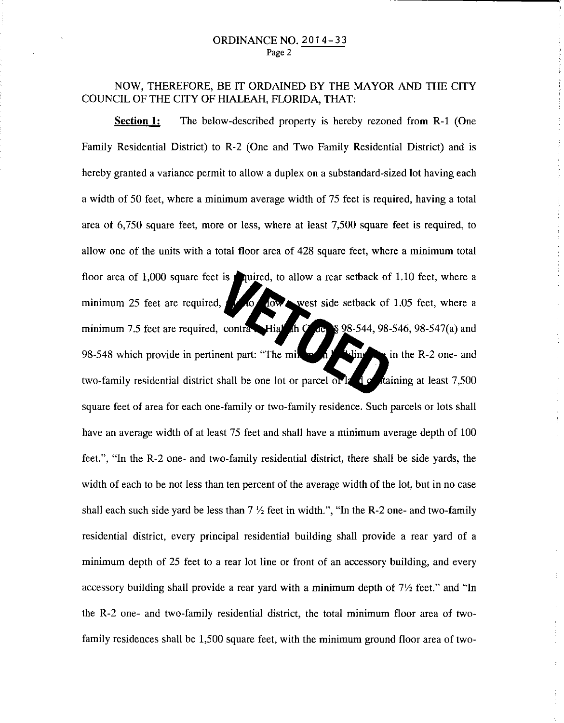# NOW, THEREFORE, BE IT ORDAINED BY THE MAYOR AND THE CITY COUNCIL OF THE CITY OF HIALEAH, FLORIDA, THAT:

**Section 1:** The below-described property is hereby rezoned from R-1 (One Family Residential District) to R-2 (One and Two Family Residential District) and is hereby granted a variance permit to allow a duplex on a substandard-sized lot having each a width of 50 feet, where a minimum average width of 75 feet is required, having a total area of 6, 750 square feet, more or less, where at least 7,500 square feet is required, to allow one of the units with a total floor area of 428 square feet, where a minimum total floor area of 1,000 square feet is **p**uired, to allow a rear setback of 1.10 feet, where a minimum 25 feet are required, *I* to low west side setback of 1.05 feet, where a minimum 7.5 feet are required, contra Hial th C de § 98-544, 98-546, 98-547(a) and 98-548 which provide in pertinent part: "The mixture of  $\frac{1}{\sqrt{2}}$  ding in the R-2 one- and two-family residential district shall be one lot or parcel or  $\frac{1}{4}$  of taining at least 7,500 square feet of area for each one-family or two-family residence. Such parcels or lots shall have an average width of at least 75 feet and shall have a minimum average depth of 100 feet.", "In the R-2 one- and two-family residential district, there shall be side yards, the width of each to be not less than ten percent of the average width of the lot, but in no case shall each such side yard be less than  $7\frac{1}{2}$  feet in width.", "In the R-2 one- and two-family residential district, every principal residential building shall provide a rear yard of a minimum depth of 25 feet to a rear lot line or front of an accessory building, and every accessory building shall provide a rear yard with a minimum depth of *7Yz* feet." and "In the R-2 one- and two-family residential district, the total minimum floor area of twofamily residences shall be 1,500 square feet, with the minimum ground floor area of two-

Î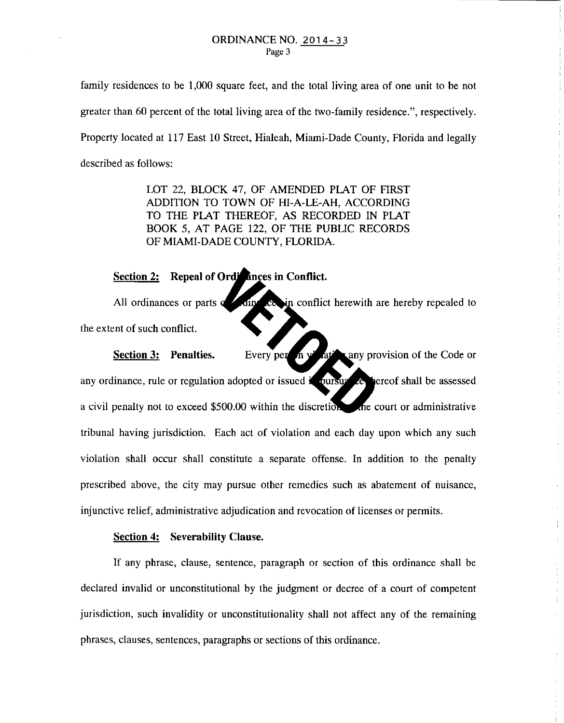family residences to be 1,000 square feet, and the total living area of one unit to be not greater than 60 percent of the total living area of the two-family residence.", respectively. Property located at 117 East 10 Street, Hialeah, Miami-Dade County, Florida and legally described as follows:

> LOT 22, BLOCK 47, OF AMENDED PLAT OF FIRST ADDITION TO TOWN OF HI-A-LE-AH, ACCORDING TO THE PLAT THEREOF, AS RECORDED IN PLAT BOOK 5, AT PAGE 122, OF THE PUBLIC RECORDS OF MIAMI-DADE COUNTY, FLORIDA.

## Section 2: Repeal of Ordinances in Conflict.

All ordinances or parts of ce in conflict herewith are hereby repealed to  $\rm dfp$ the extent of such conflict.

any provision of the Code or Every per n y **Section 3: Penalties.**  any ordinance, rule or regulation adopted or issued  $\epsilon$  oursuped  $\epsilon$  bereof shall be assessed a civil penalty not to exceed \$500.00 within the discretion the court or administrative tribunal having jurisdiction. Each act of violation and each day upon which any such violation shall occur shall constitute a separate offense. In addition to the penalty prescribed above, the city may pursue other remedies such as abatement of nuisance, injunctive relief, administrative adjudication and revocation of licenses or permits.

#### **Section 4: Severability Clause.**

If any phrase, clause, sentence, paragraph or section of this ordinance shall be declared invalid or unconstitutional by the judgment or decree of a court of competent jurisdiction, such invalidity or unconstitutionality shall not affect any of the remaining phrases, clauses, sentences, paragraphs or sections of this ordinance.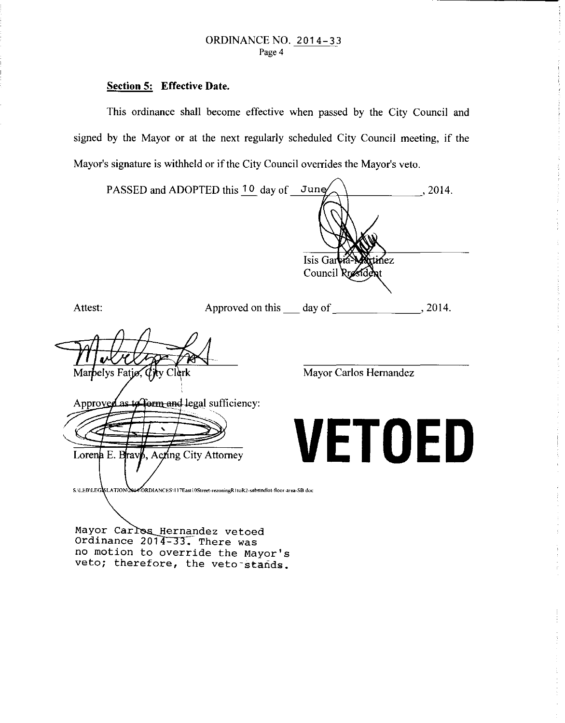## **Section 5: Effective Date.**

This ordinance shall become effective when passed by the City Council and signed by the Mayor or at the next regularly scheduled City Council meeting, if the Mayor's signature is withheld or if the City Council overrides the Mayor's veto.

|                                                                                                                                                                                                                    | PASSED and ADOPTED this 10 day of June | Isis Garcia<br>rtinez.<br>Council Rreside | , 2014. |
|--------------------------------------------------------------------------------------------------------------------------------------------------------------------------------------------------------------------|----------------------------------------|-------------------------------------------|---------|
| Attest:                                                                                                                                                                                                            |                                        | Approved on this $\qquad$ day of $\qquad$ | , 2014. |
| Marbelys Fatjo, City Clerk<br>Approved as to form and legal sufficiency:<br>Lorena E. Bravb, Acting City Attorney<br>S:\LEB\LEG\SLATION\2014-ORDIANCES\117East10Street-rezoningR1toR2-substndlot-floor-area-SB doc |                                        | Mayor Carlos Hernandez<br>VETOED          |         |
| Mayor Carlos Hernandez vetoed<br>Ordinance $2014-33$ . There was                                                                                                                                                   |                                        |                                           |         |

 $\ddot{\mathrm{r}}$ 

Ordinance  $2014 - 33$ . There was no motion to override the Mayor's veto; therefore, the veto-stands.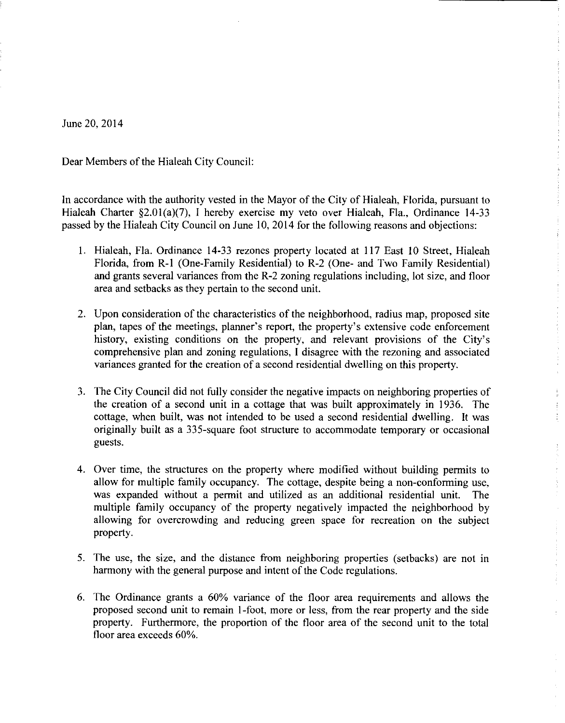June 20, 2014

Dear Members of the Hialeah City Council:

In accordance with the authority vested in the Mayor of the City of Hialeah, Florida, pursuant to Hialeah Charter §2.0l(a)(7), I hereby exercise my veto over Hialeah, Fla., Ordinance 14-33 passed by the Hialeah City Council on June 10, 2014 for the following reasons and objections:

- I. Hialeah, Fla. Ordinance 14-33 rezones property located at 117 East 10 Street, Hialeah Florida, from R-1 (One-Family Residential) to R-2 (One- and Two Family Residential) and grants several variances from the R-2 zoning regulations including, lot size, and floor area and setbacks as they pertain to the second unit.
- 2. Upon consideration of the characteristics of the neighborhood, radius map, proposed site plan, tapes of the meetings, planner's report, the property's extensive code enforcement history, existing conditions on the property, and relevant provisions of the City's comprehensive plan and zoning regulations, I disagree with the rezoning and associated variances granted for the creation of a second residential dwelling on this property.
- 3. The City Council did not fully consider the negative impacts on neighboring properties of the creation of a second unit in a cottage that was built approximately in 1936. The cottage, when built, was not intended to be used a second residential dwelling. It was originally built as a 335-square foot structure to accommodate temporary or occasional guests.

 $\mathbb{F}$  $\ddot{i}$ 

- 4. Over time, the structures on the property where modified without building permits to allow for multiple family occupancy. The cottage, despite being a non-conforming use, was expanded without a permit and utilized as an additional residential unit. The multiple family occupancy of the property negatively impacted the neighborhood by allowing for overcrowding and reducing green space for recreation on the subject property.
- 5. The use, the size, and the distance from neighboring properties (setbacks) are not in harmony with the general purpose and intent of the Code regulations.
- 6. The Ordinance grants a 60% variance of the floor area requirements and allows the proposed second unit to remain 1-foot, more or less, from the rear property and the side property. Furthermore, the proportion of the floor area of the second unit to the total floor area exceeds 60%.